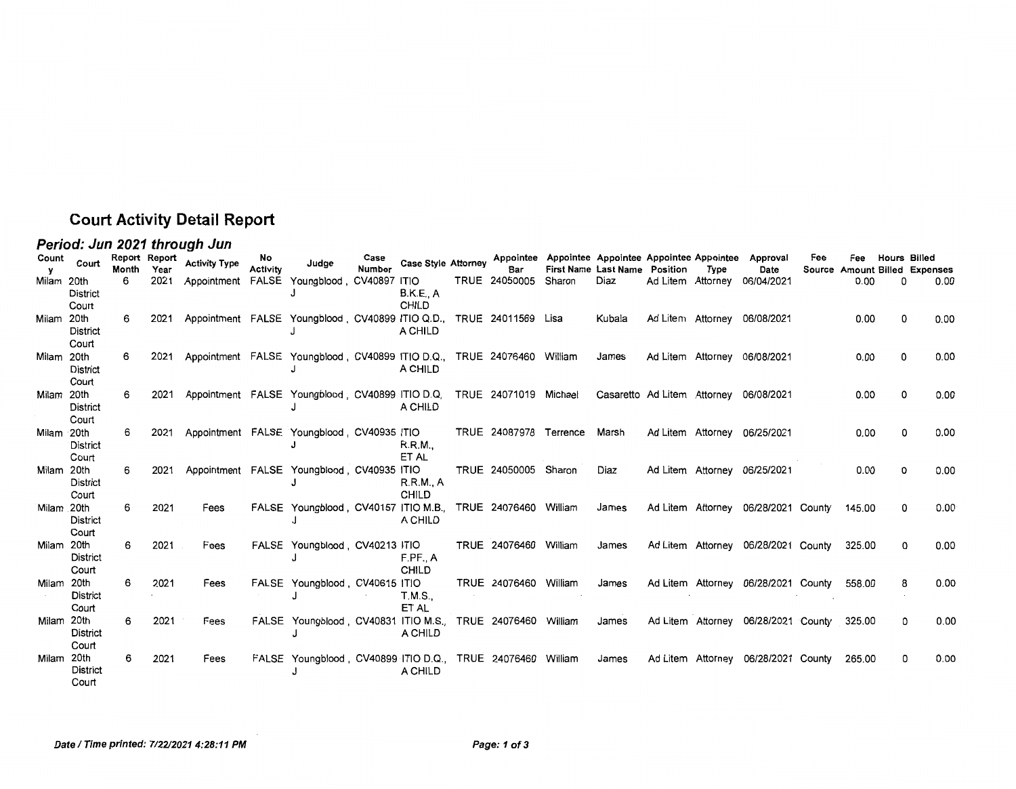## **Court Activity Detail Report**

## **Period: Jun 2021 through Jun**

| Count      | Court                    | Report Report<br>Month | Year | <b>Activity Type</b>                       | No.<br><b>Activity</b> | Judge                                                                  | Case<br>Number | <b>Case Style Attorney</b> | Bar                    | Appointee Appointee Appointee Appointee Appointee | First Name Last Name Position | Type | Approval<br>Date                       | Fee | Fee               | <b>Hours Billed</b> | Source Amount Billed Expenses |
|------------|--------------------------|------------------------|------|--------------------------------------------|------------------------|------------------------------------------------------------------------|----------------|----------------------------|------------------------|---------------------------------------------------|-------------------------------|------|----------------------------------------|-----|-------------------|---------------------|-------------------------------|
| Milam 20th | <b>District</b><br>Court | 6                      | 2021 | Appointment FALSE Youngblood, CV40897 ITIO |                        |                                                                        |                | <b>B.K.E., A</b><br>CHILD  | TRUE 24050005          | Sharon                                            | Diaz                          |      | Ad Litem Attorney 06/04/2021           |     | 0.00              | O                   | 0.00                          |
| Milam 20th | <b>District</b><br>Court | 6                      | 2021 |                                            |                        | Appointment FALSE Youngblood, CV40899 ITIO Q.D., TRUE 24011569 Lisa    |                | A CHILD                    |                        |                                                   | Kubala                        |      | Ad Litem Attorney 06/08/2021           |     | 0.00              |                     | 0.00                          |
| Milam 20th | <b>District</b><br>Court | 6                      | 2021 |                                            |                        | Appointment FALSE Youngblood, CV40899 ITIO D.Q., TRUE 24076460 William |                | A CHILD                    |                        |                                                   | James                         |      | Ad Litem Attorney 06/08/2021           |     | 0.00              | 0                   | 0.00                          |
| Milam 20th | <b>District</b><br>Court | 6                      | 2021 |                                            |                        | Appointment FALSE Youngblood, CV40899 ITIO D.Q.                        |                | A CHILD                    | TRUE 24071019 Michael  |                                                   |                               |      | Casaretto Ad Litem Attorney 06/08/2021 |     | 0.00 <sub>1</sub> | 0                   | 0.00                          |
| Milam 20th | <b>District</b><br>Court | 6                      | 2021 |                                            |                        | Appointment FALSE Youngblood, CV40935 ITIO                             |                | R.R.M.,<br>ET AL           | TRUE 24087978 Terrence |                                                   | Marsh                         |      | Ad Litem Attorney 06/25/2021           |     | 0.00              | 0                   | 0.00                          |
| Milam 20th | <b>District</b><br>Court | 6                      | 2021 |                                            |                        | Appointment FALSE Youngblood, CV40935 ITIO                             |                | R.R.M., A<br><b>CHILD</b>  | TRUE 24050005 Sharon   |                                                   | Diaz                          |      | Ad Litem Attorney 06/25/2021           |     | 0.00              | 0                   | 0.00                          |
| Milam 20th | District<br>Court        | 6                      | 2021 | Fees                                       |                        | FALSE Youngblood, CV40157 ITIO M.B., TRUE 24076460 William             |                | A CHILD                    |                        |                                                   | James                         |      | Ad Litem Attorney 06/28/2021 County    |     | 145.00            | 0                   | 0.00                          |
| Milam 20th | District<br>Court        | 6                      | 2021 | Fees                                       |                        | FALSE Youngblood, CV40213 ITIO                                         |                | F.PF., A<br>CHILD          | TRUE 24076460 William  |                                                   | James                         |      | Ad Litem Attorney 06/28/2021 County    |     | 325.00            | 0                   | 0.00                          |
| Milam 20th | <b>District</b><br>Court | 6                      | 2021 | Fees                                       |                        | FALSE Youngblood, CV40615 ITIO                                         |                | T.M.S.,<br>ET AL           | TRUE 24076460 William  |                                                   | James                         |      | Ad Litem Attorney 06/28/2021 County    |     | 558.00            | 8                   | 0.00                          |
| Milam 20th | District<br>Court        | 6                      | 2021 | Fees                                       |                        | FALSE Youngblood, CV40831 ITIO M.S., TRUE 24076460 William             |                | A CHILD                    |                        |                                                   | James                         |      | Ad Litem Attorney 06/28/2021 County    |     | 325.00            | 0                   | 0.00                          |
| Milam 20th | <b>District</b><br>Court | 6                      | 2021 | Fees                                       |                        | FALSE Youngblood, CV40899 ITIO D.Q., TRUE 24076460 William             |                | A CHILD                    |                        |                                                   | James                         |      | Ad Litem Attorney 06/28/2021 County    |     | 265.00            | 0                   | 0.00                          |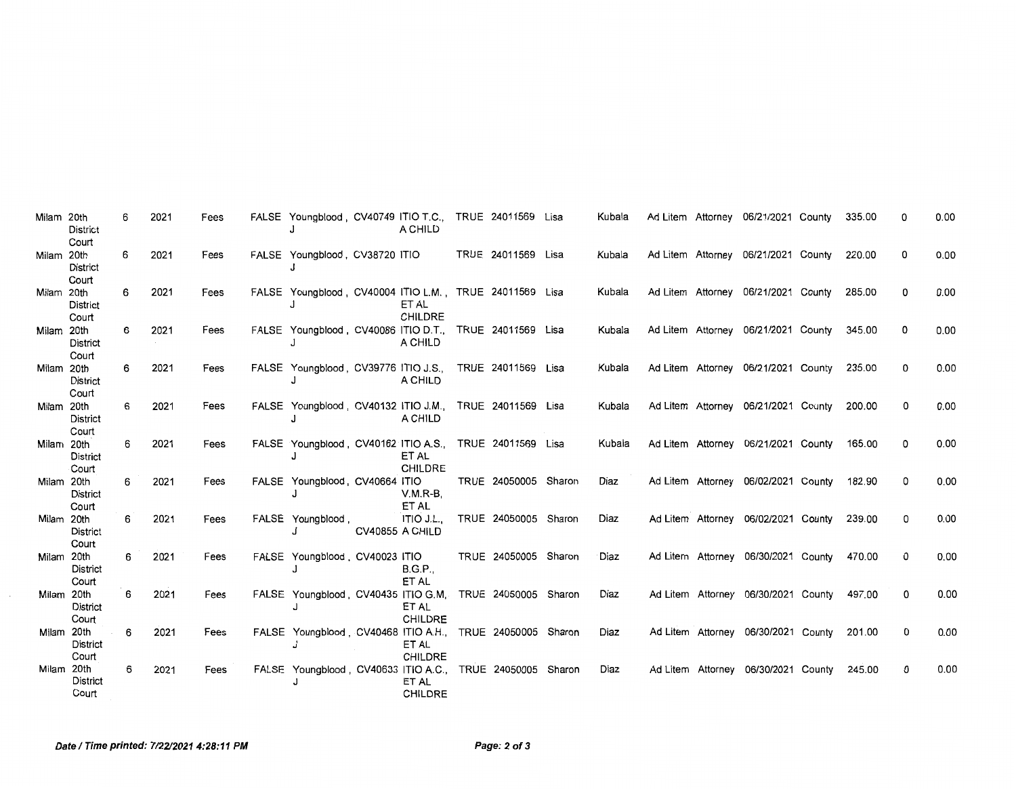| Milam 20th | <b>District</b><br>Court | 6 | 2021 | Fees | FALSE Youngblood, CV40749 ITIO T.C., TRUE 24011569 Lisa   |                 | A CHILD                 |                      | Kubala |  | Ad Litem Attorney 06/21/2021 County | 335.00 |   | 0.00 |
|------------|--------------------------|---|------|------|-----------------------------------------------------------|-----------------|-------------------------|----------------------|--------|--|-------------------------------------|--------|---|------|
| Milam 20th | District<br>Court        | 6 | 2021 | Fees | FALSE Youngblood, CV38720 ITIO                            |                 |                         | TRUE 24011569 Lisa   | Kubala |  | Ad Litem Attorney 06/21/2021 County | 220.00 | 0 | 0.00 |
| Milam 20th | <b>District</b><br>Court | 6 | 2021 | Fees | FALSE Youngblood, CV40004 ITIO L.M., TRUE 24011569 Lisa   |                 | ET AL<br><b>CHILDRE</b> |                      | Kubala |  | Ad Litem Attorney 06/21/2021 County | 285.00 | 0 | 0.00 |
| Milam 20th | <b>District</b><br>Court | 6 | 2021 | Fees | FALSE Youngblood, CV40086 ITIO D.T., TRUE 24011569 Lisa   |                 | A CHILD                 |                      | Kubala |  | Ad Litem Attorney 06/21/2021 County | 345.00 | 0 | 0.00 |
| Milam 20th | District<br>Court        | 6 | 2021 | Fees | FALSE Youngblood, CV39776 ITIO J.S.,                      |                 | A CHILD                 | TRUE 24011569 Lisa   | Kubala |  | Ad Litem Attorney 06/21/2021 County | 235.00 | 0 | 0.00 |
| Milam 20th | <b>District</b><br>Court | 6 | 2021 | Fees | FALSE Youngblood, CV40132 ITIO J.M., TRUE 24011569 Lisa   |                 | A CHILD                 |                      | Kubala |  | Ad Litem Attorney 06/21/2021 County | 200.00 | 0 | 0.00 |
| Milam 20th | <b>District</b><br>Court | 6 | 2021 | Fees | FALSE Youngblood, CV40162 ITIO A.S., TRUE 24011569 Lisa   |                 | ET AL<br><b>CHILDRE</b> |                      | Kubala |  | Ad Litem Attorney 06/21/2021 County | 165.00 | 0 | 0.00 |
| Milam 20th | <b>District</b><br>Court | 6 | 2021 | Fees | FALSE Youngblood, CV40664 ITIO                            |                 | $V.M.R-B.$<br>ET AL     | TRUE 24050005 Sharon | Diaz   |  | Ad Litem Attorney 06/02/2021 County | 182.90 | 0 | 0.00 |
| Milam 20th | <b>District</b><br>Court | 6 | 2021 | Fees | FALSE Youngblood,                                         | CV40855 A CHILD | ITIO J.L.               | TRUE 24050005 Sharon | Diaz   |  | Ad Litem Attorney 06/02/2021 County | 239.00 | 0 | 0.00 |
| Milam 20th | <b>District</b><br>Court | 6 | 2021 | Fees | FALSE Youngblood, CV40023 ITIO                            |                 | <b>B.G.P.,</b><br>ET AL | TRUE 24050005 Sharon | Diaz   |  | Ad Litem Attorney 06/30/2021 County | 470.00 | 0 | 0,00 |
| Milam 20th | <b>District</b><br>Court | 6 | 2021 | Fees | FALSE Youngblood, CV40435 ITIO G.M. TRUE 24050005 Sharon  |                 | ET AL<br>CHILDRE        |                      | Diaz   |  | Ad Litem Attorney 06/30/2021 County | 497.00 | 0 | 0.00 |
| Milam 20th | <b>District</b><br>Court | 6 | 2021 | Fees | FALSE Youngblood, CV40468 ITIO A.H., TRUE 24050005 Sharon |                 | ET AL<br><b>CHILDRE</b> |                      | Diaz   |  | Ad Litem Attorney 06/30/2021 County | 201.00 | 0 | 0.00 |
| Milam 20th | <b>District</b><br>Court | 6 | 2021 | Fees | FALSE Youngblood, CV40633 ITIO A.C., TRUE 24050005 Sharon |                 | ET AL<br><b>CHILDRE</b> |                      | Diaz   |  | Ad Litem Attorney 06/30/2021 County | 245.00 | 0 | 0.00 |